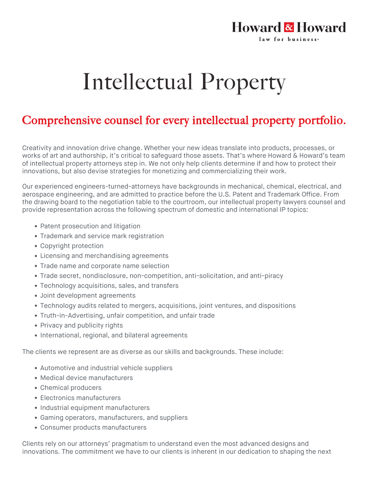## Howard & Howard law for business.

## Intellectual Property

## Comprehensive counsel for every intellectual property portfolio.

Creativity and innovation drive change. Whether your new ideas translate into products, processes, or works of art and authorship, it's critical to safeguard those assets. That's where Howard & Howard's team of intellectual property attorneys step in. We not only help clients determine if and how to protect their innovations, but also devise strategies for monetizing and commercializing their work.

Our experienced engineers-turned-attorneys have backgrounds in mechanical, chemical, electrical, and aerospace engineering, and are admitted to practice before the U.S. Patent and Trademark Office. From the drawing board to the negotiation table to the courtroom, our intellectual property lawyers counsel and provide representation across the following spectrum of domestic and international IP topics:

- Patent prosecution and litigation
- Trademark and service mark registration
- Copyright protection
- Licensing and merchandising agreements
- Trade name and corporate name selection
- Trade secret, nondisclosure, non-competition, anti-solicitation, and anti-piracy
- Technology acquisitions, sales, and transfers
- Joint development agreements
- Technology audits related to mergers, acquisitions, joint ventures, and dispositions
- Truth-in-Advertising, unfair competition, and unfair trade
- Privacy and publicity rights
- International, regional, and bilateral agreements

The clients we represent are as diverse as our skills and backgrounds. These include:

- Automotive and industrial vehicle suppliers
- Medical device manufacturers
- Chemical producers
- Electronics manufacturers
- Industrial equipment manufacturers
- Gaming operators, manufacturers, and suppliers
- Consumer products manufacturers

Clients rely on our attorneys' pragmatism to understand even the most advanced designs and innovations. The commitment we have to our clients is inherent in our dedication to shaping the next